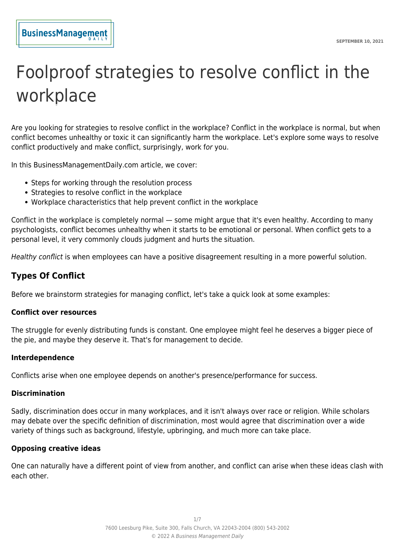# Foolproof strategies to resolve conflict in the workplace

Are you looking for strategies to resolve conflict in the workplace? Conflict in the workplace is normal, but when conflict becomes unhealthy or toxic it can significantly harm the workplace. Let's explore some ways to resolve conflict productively and make conflict, surprisingly, work for you.

In this BusinessManagementDaily.com article, we cover:

- Steps for working through the resolution process
	- Strategies to resolve conflict in the workplace
	- Workplace characteristics that help prevent conflict in the workplace

Conflict in the workplace is completely normal — some might argue that it's even healthy. According to many psychologists, conflict becomes unhealthy when it starts to be emotional or personal. When conflict gets to a personal level, it very commonly clouds judgment and hurts the situation.

Healthy conflict is when employees can have a positive disagreement resulting in a more powerful solution.

# **Types Of Conflict**

Before we brainstorm strategies for managing conflict, let's take a quick look at some examples:

#### **Conflict over resources**

The struggle for evenly distributing funds is constant. One employee might feel he deserves a bigger piece of the pie, and maybe they deserve it. That's for management to decide.

#### **Interdependence**

Conflicts arise when one employee depends on another's presence/performance for success.

#### **Discrimination**

Sadly, discrimination does occur in many workplaces, and it isn't always over race or religion. While scholars may debate over the specific definition of discrimination, most would agree that discrimination over a wide variety of things such as background, lifestyle, upbringing, and much more can take place.

#### **Opposing creative ideas**

One can naturally have a different point of view from another, and conflict can arise when these ideas clash with each other.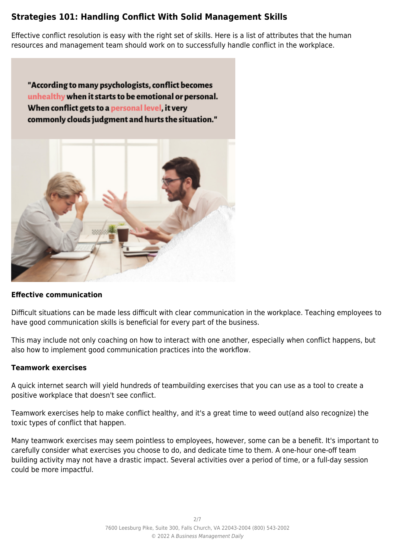# **Strategies 101: Handling Conflict With Solid Management Skills**

Effective conflict resolution is easy with the right set of skills. Here is a list of attributes that the human resources and management team should work on to successfully handle conflict in the workplace.

"According to many psychologists, conflict becomes unhealthy when it starts to be emotional or personal. When conflict gets to a personal level, it very commonly clouds judgment and hurts the situation."



# **Effective communication**

Difficult situations can be made less difficult with clear communication in the workplace. Teaching employees to have good communication skills is beneficial for every part of the business.

This may include not only coaching on how to interact with one another, especially when conflict happens, but also how to implement good communication practices into the workflow.

#### **Teamwork exercises**

A quick internet search will yield hundreds of teambuilding exercises that you can use as a tool to create a positive workplace that doesn't see conflict.

Teamwork exercises help to make conflict healthy, and it's a great time to weed out(and also recognize) the toxic types of conflict that happen.

Many teamwork exercises may seem pointless to employees, however, some can be a benefit. It's important to carefully consider what exercises you choose to do, and dedicate time to them. A one-hour one-off team building activity may not have a drastic impact. Several activities over a period of time, or a full-day session could be more impactful.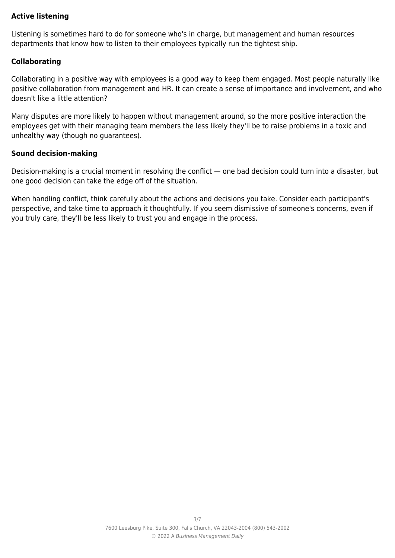## **Active listening**

Listening is sometimes hard to do for someone who's in charge, but management and human resources departments that know how to listen to their employees typically run the tightest ship.

## **Collaborating**

Collaborating in a positive way with employees is a good way to keep them engaged. Most people naturally like positive collaboration from management and HR. It can create a sense of importance and involvement, and who doesn't like a little attention?

Many disputes are more likely to happen without management around, so the more positive interaction the employees get with their managing team members the less likely they'll be to raise problems in a toxic and unhealthy way (though no guarantees).

## **Sound decision-making**

Decision-making is a crucial moment in resolving the conflict — one bad decision could turn into a disaster, but one good decision can take the edge off of the situation.

When handling conflict, think carefully about the actions and decisions you take. Consider each participant's perspective, and take time to approach it thoughtfully. If you seem dismissive of someone's concerns, even if you truly care, they'll be less likely to trust you and engage in the process.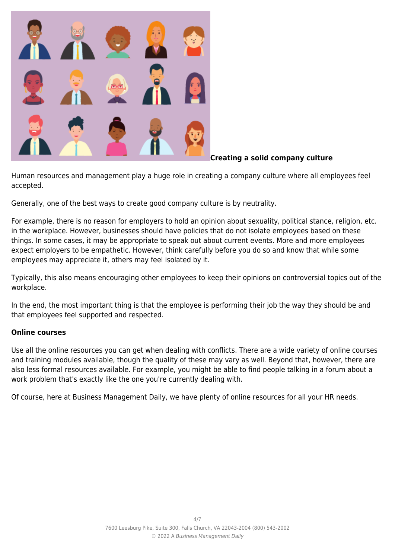

# **Creating a solid company culture**

Human resources and management play a huge role in creating a company culture where all employees feel accepted.

Generally, one of the best ways to create good company culture is by neutrality.

For example, there is no reason for employers to hold an opinion about sexuality, political stance, religion, etc. in the workplace. However, businesses should have policies that do not isolate employees based on these things. In some cases, it may be appropriate to speak out about current events. More and more employees expect employers to be empathetic. However, think carefully before you do so and know that while some employees may appreciate it, others may feel isolated by it.

Typically, this also means encouraging other employees to keep their opinions on controversial topics out of the workplace.

In the end, the most important thing is that the employee is performing their job the way they should be and that employees feel supported and respected.

# **Online courses**

Use all the online resources you can get when dealing with conflicts. There are a wide variety of online courses and training modules available, though the quality of these may vary as well. Beyond that, however, there are also less formal resources available. For example, you might be able to find people talking in a forum about a work problem that's exactly like the one you're currently dealing with.

Of course, here at Business Management Daily, we have plenty of online resources for all your HR needs.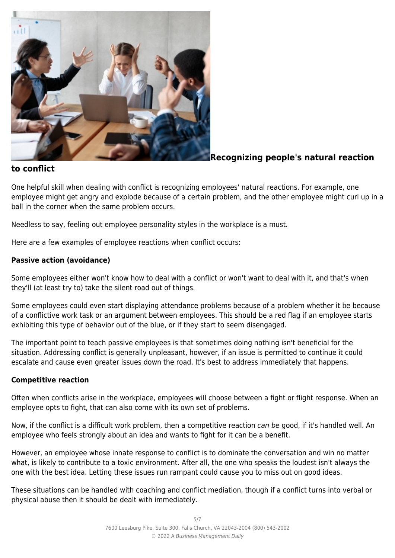

# **Recognizing people's natural reaction**

# **to conflict**

One helpful skill when dealing with conflict is recognizing employees' natural reactions. For example, one employee might get angry and explode because of a certain problem, and the other employee might curl up in a ball in the corner when the same problem occurs.

Needless to say, feeling out employee personality styles in the workplace is a must.

Here are a few examples of employee reactions when conflict occurs:

# **Passive action (avoidance)**

Some employees either won't know how to deal with a conflict or won't want to deal with it, and that's when they'll (at least try to) take the silent road out of things.

Some employees could even start displaying attendance problems because of a problem whether it be because of a conflictive work task or an argument between employees. This should be a red flag if an employee starts exhibiting this type of behavior out of the blue, or if they start to seem disengaged.

The important point to teach passive employees is that sometimes doing nothing isn't beneficial for the situation. Addressing conflict is generally unpleasant, however, if an issue is permitted to continue it could escalate and cause even greater issues down the road. It's best to address immediately that happens.

# **Competitive reaction**

Often when conflicts arise in the workplace, employees will choose between a fight or flight response. When an employee opts to fight, that can also come with its own set of problems.

Now, if the conflict is a difficult work problem, then a competitive reaction can be good, if it's handled well. An employee who feels strongly about an idea and wants to fight for it can be a benefit.

However, an employee whose innate response to conflict is to dominate the conversation and win no matter what, is likely to contribute to a toxic environment. After all, the one who speaks the loudest isn't always the one with the best idea. Letting these issues run rampant could cause you to miss out on good ideas.

These situations can be handled with coaching and conflict mediation, though if a conflict turns into verbal or physical abuse then it should be dealt with immediately.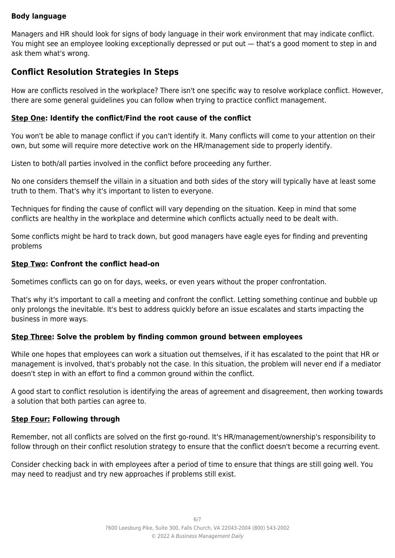# **Body language**

Managers and HR should look for signs of body language in their work environment that may indicate conflict. You might see an employee looking exceptionally depressed or put out — that's a good moment to step in and ask them what's wrong.

# **Conflict Resolution Strategies In Steps**

How are conflicts resolved in the workplace? There isn't one specific way to resolve workplace conflict. However, there are some general guidelines you can follow when trying to practice conflict management.

## **Step One: Identify the conflict/Find the root cause of the conflict**

You won't be able to manage conflict if you can't identify it. Many conflicts will come to your attention on their own, but some will require more detective work on the HR/management side to properly identify.

Listen to both/all parties involved in the conflict before proceeding any further.

No one considers themself the villain in a situation and both sides of the story will typically have at least some truth to them. That's why it's important to listen to everyone.

Techniques for finding the cause of conflict will vary depending on the situation. Keep in mind that some conflicts are healthy in the workplace and determine which conflicts actually need to be dealt with.

Some conflicts might be hard to track down, but good managers have eagle eyes for finding and preventing problems

#### **Step Two: Confront the conflict head-on**

Sometimes conflicts can go on for days, weeks, or even years without the proper confrontation.

That's why it's important to call a meeting and confront the conflict. Letting something continue and bubble up only prolongs the inevitable. It's best to address quickly before an issue escalates and starts impacting the business in more ways.

#### **Step Three: Solve the problem by finding common ground between employees**

While one hopes that employees can work a situation out themselves, if it has escalated to the point that HR or management is involved, that's probably not the case. In this situation, the problem will never end if a mediator doesn't step in with an effort to find a common ground within the conflict.

A good start to conflict resolution is identifying the areas of agreement and disagreement, then working towards a solution that both parties can agree to.

# **Step Four: Following through**

Remember, not all conflicts are solved on the first go-round. It's HR/management/ownership's responsibility to follow through on their conflict resolution strategy to ensure that the conflict doesn't become a recurring event.

Consider checking back in with employees after a period of time to ensure that things are still going well. You may need to readjust and try new approaches if problems still exist.